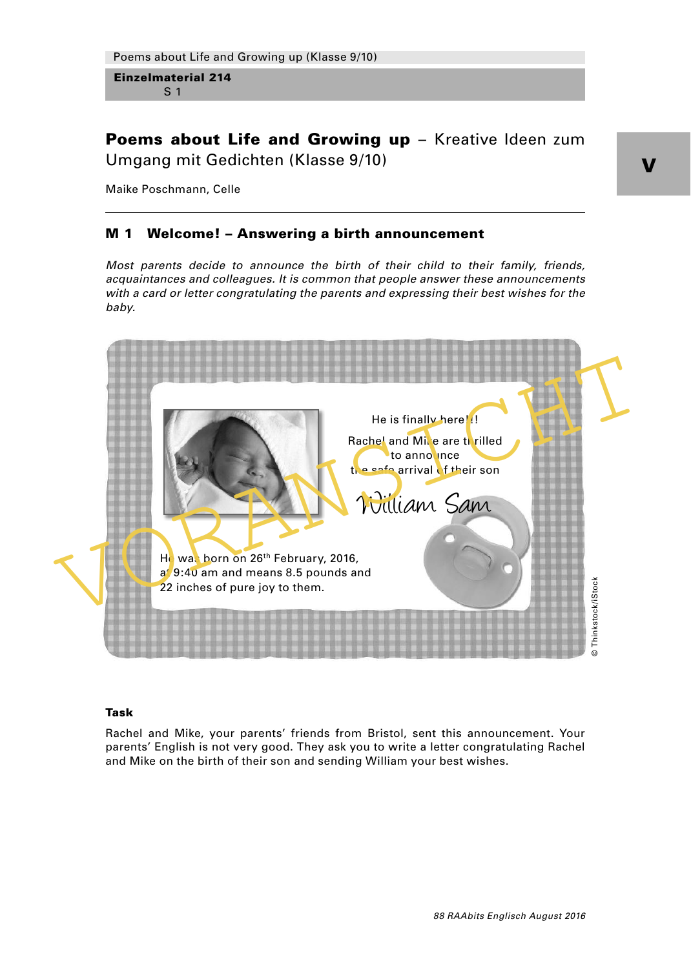Poems about Life and Growing up - Kreative Ideen zum Umgang mit Gedichten (Klasse 9/10)

Maike Poschmann, Celle

## M 1 Welcome! – Answering a birth announcement

Most parents decide to announce the birth of their child to their family, friends, acquaintances and colleagues. It is common that people answer these announcements with a card or letter congratulating the parents and expressing their best wishes for the baby.



### Task

Rachel and Mike, your parents' friends from Bristol, sent this announcement. Your parents' English is not very good. They ask you to write a letter congratulating Rachel and Mike on the birth of their son and sending William your best wishes.

V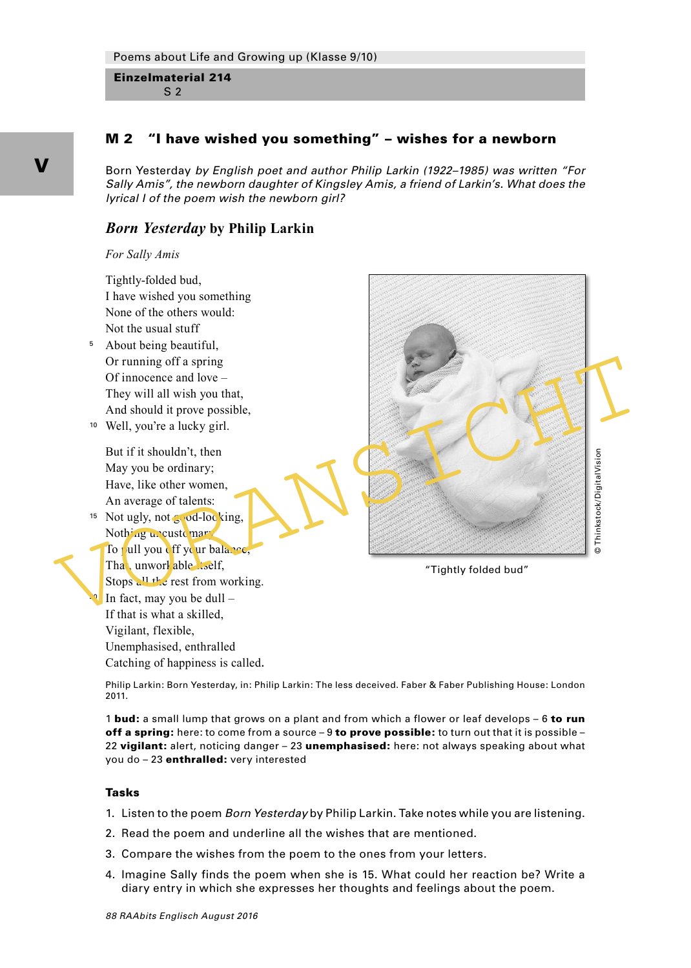# M 2 "I have wished you something" – wishes for a newborn

Born Yesterday by English poet and author Philip Larkin (1922–1985) was written "For Sally Amis", the newborn daughter of Kingsley Amis, a friend of Larkin's. What does the lyrical I of the poem wish the newborn girl?

# *Born Yesterday* **by Philip Larkin**

*For Sally Amis*



Philip Larkin: Born Yesterday, in: Philip Larkin: The less deceived. Faber & Faber Publishing House: London 2011.

1 **bud:** a small lump that grows on a plant and from which a flower or leaf develops – 6 to run off a spring: here: to come from a source  $-9$  to prove possible: to turn out that it is possible – 22 vigilant: alert, noticing danger - 23 unemphasised: here: not always speaking about what you do – 23 enthralled: very interested

#### Tasks

- 1. Listen to the poem Born Yesterday by Philip Larkin. Take notes while you are listening.
- 2. Read the poem and underline all the wishes that are mentioned.
- 3. Compare the wishes from the poem to the ones from your letters.
- 4. Imagine Sally finds the poem when she is 15. What could her reaction be? Write a diary entry in which she expresses her thoughts and feelings about the poem.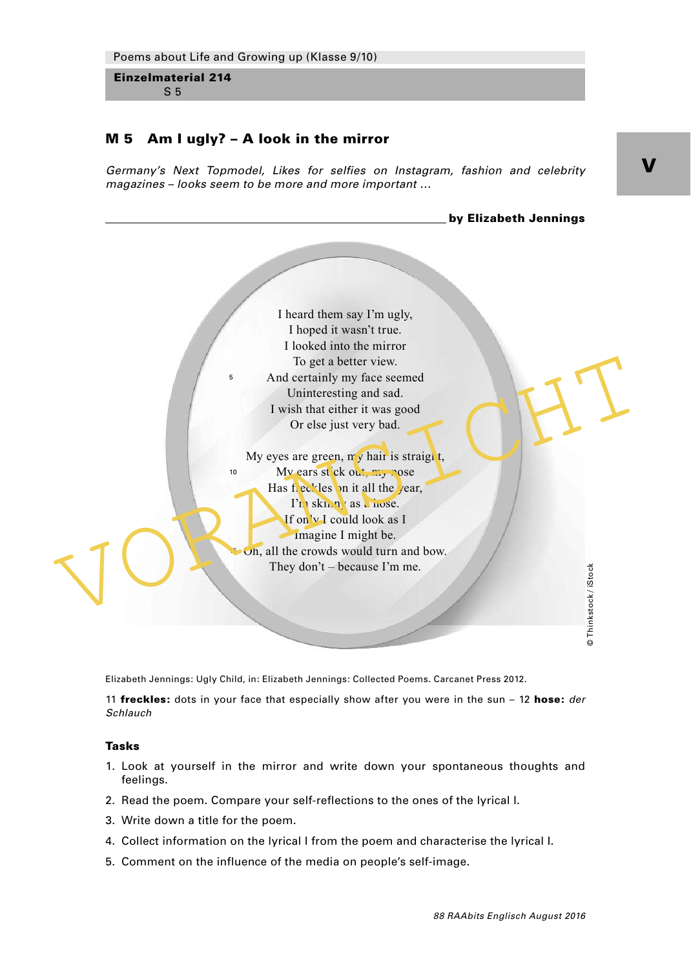## M 5 Am I ugly? – A look in the mirror

Germany's Next Topmodel, Likes for selfies on Instagram, fashion and celebrity magazines – looks seem to be more and more important …



Elizabeth Jennings: Ugly Child, in: Elizabeth Jennings: Collected Poems. Carcanet Press 2012.

11 **freckles:** dots in your face that especially show after you were in the sun  $-$  12 hose: *der* Schlauch

### Tasks

- 1. Look at yourself in the mirror and write down your spontaneous thoughts and feelings.
- 2. Read the poem. Compare your self-reflections to the ones of the lyrical I.
- 3. Write down a title for the poem.
- 4. Collect information on the lyrical I from the poem and characterise the lyrical I.
- 5. Comment on the influence of the media on people's self-image.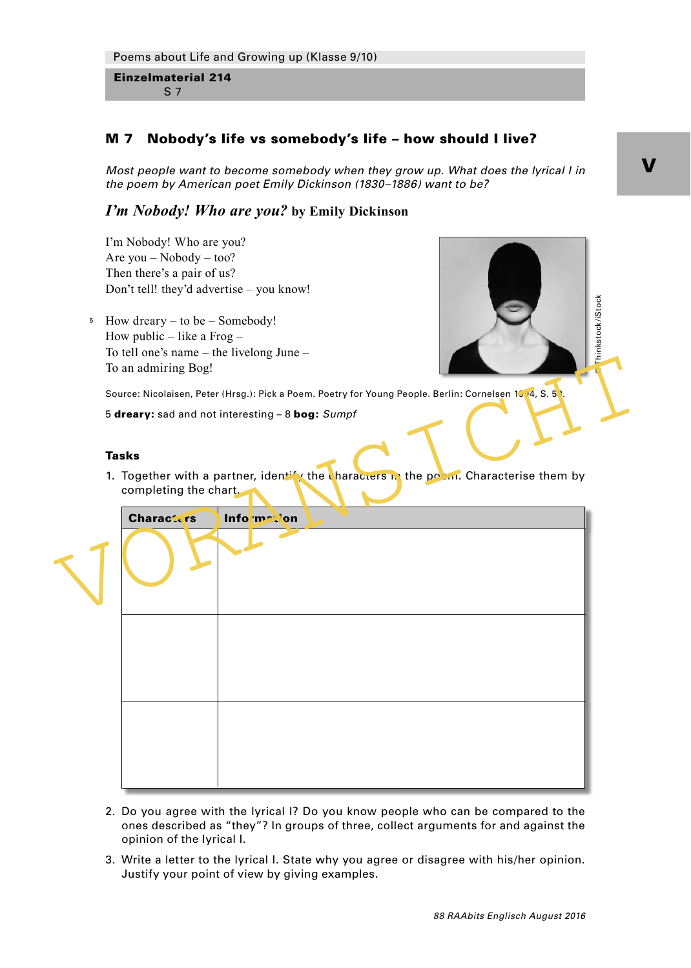# M 7 Nobody's life vs somebody's life – how should I live?

Most people want to become somebody when they grow up. What does the lyrical I in the poem by American poet Emily Dickinson (1830–1886) want to be?

# *I'm Nobody! Who are you?* **by Emily Dickinson**

I'm Nobody! Who are you? Are you – Nobody – too? Then there's a pair of us? Don't tell! they'd advertise – you know!

How dreary – to be – Somebody! 5 How public – like a Frog – To tell one's name – the livelong June – To an admiring Bog!

 $\degree$  Thinkstock/iStock

Source: Nicolaisen, Peter (Hrsg.): Pick a Poem. Poetry for Young People. Berlin: Cornelsen 1514, S. 53.

5 dreary: sad and not interesting – 8 bog: Sumpf

### Tasks

1. Together with a partner, identify the characters in the poem. Characterise them by completing the chart.

To an admiring Bog!<br>
Source: Nicolaisen, Peter (Hrsg.): Pick a Poem. Poetry for Young People. Berlin: Cornelsen 15 **4**, S. S.<br>
5 dreary: sad and not interesting - 8 **bog:** Sumpf<br>
Tasks<br>
1. Together with a partner, identify Characters Information

- 2. Do you agree with the lyrical I? Do you know people who can be compared to the ones described as "they"? In groups of three, collect arguments for and against the opinion of the lyrical I.
- 3. Write a letter to the lyrical I. State why you agree or disagree with his/her opinion. Justify your point of view by giving examples.